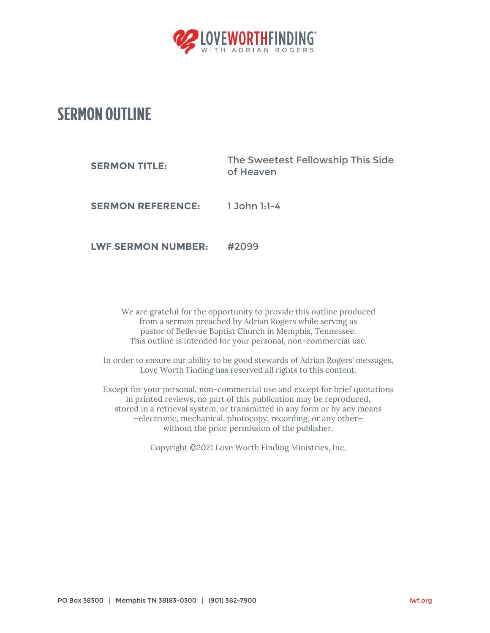

## **SERMON OUTLINE**

| <b>SERMON TITLE:</b>      | The Sweetest Fellowship This Side<br>of Heaven |
|---------------------------|------------------------------------------------|
| <b>SERMON REFERENCE:</b>  | $1$ John $1:1-4$                               |
| <b>LWF SERMON NUMBER:</b> | #2099                                          |

We are grateful for the opportunity to provide this outline produced from a sermon preached by Adrian Rogers while serving as pastor of Bellevue Baptist Church in Memphis, Tennessee. This outline is intended for your personal, non-commercial use.

In order to ensure our ability to be good stewards of Adrian Rogers' messages, Love Worth Finding has reserved all rights to this content.

Except for your personal, non-commercial use and except for brief quotations in printed reviews, no part of this publication may be reproduced, stored in a retrieval system, or transmitted in any form or by any means —electronic, mechanical, photocopy, recording, or any other without the prior permission of the publisher.

Copyright ©2021 Love Worth Finding Ministries, Inc.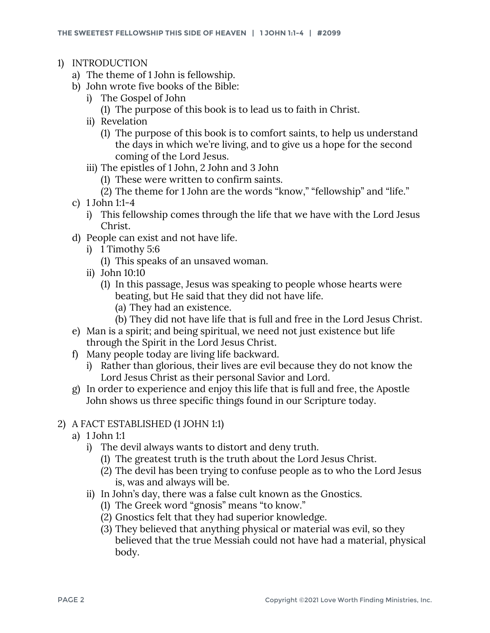- 1) INTRODUCTION
	- a) The theme of 1 John is fellowship.
	- b) John wrote five books of the Bible:
		- i) The Gospel of John
			- (1) The purpose of this book is to lead us to faith in Christ.
		- ii) Revelation
			- (1) The purpose of this book is to comfort saints, to help us understand the days in which we're living, and to give us a hope for the second coming of the Lord Jesus.
		- iii) The epistles of 1 John, 2 John and 3 John
			- (1) These were written to confirm saints.
			- (2) The theme for 1 John are the words "know," "fellowship" and "life."
	- c) 1 John 1:1-4
		- i) This fellowship comes through the life that we have with the Lord Jesus Christ.
	- d) People can exist and not have life.
		- i) 1 Timothy 5:6
			- (1) This speaks of an unsaved woman.
		- ii) John 10:10
			- (1) In this passage, Jesus was speaking to people whose hearts were beating, but He said that they did not have life.
				- (a) They had an existence.
				- (b) They did not have life that is full and free in the Lord Jesus Christ.
	- e) Man is a spirit; and being spiritual, we need not just existence but life through the Spirit in the Lord Jesus Christ.
	- f) Many people today are living life backward.
		- i) Rather than glorious, their lives are evil because they do not know the Lord Jesus Christ as their personal Savior and Lord.
	- g) In order to experience and enjoy this life that is full and free, the Apostle John shows us three specific things found in our Scripture today.

## 2) A FACT ESTABLISHED (1 JOHN 1:1)

- a) 1 John 1:1
	- i) The devil always wants to distort and deny truth.
		- (1) The greatest truth is the truth about the Lord Jesus Christ.
		- (2) The devil has been trying to confuse people as to who the Lord Jesus is, was and always will be.
	- ii) In John's day, there was a false cult known as the Gnostics.
		- (1) The Greek word "gnosis" means "to know."
		- (2) Gnostics felt that they had superior knowledge.
		- (3) They believed that anything physical or material was evil, so they believed that the true Messiah could not have had a material, physical body.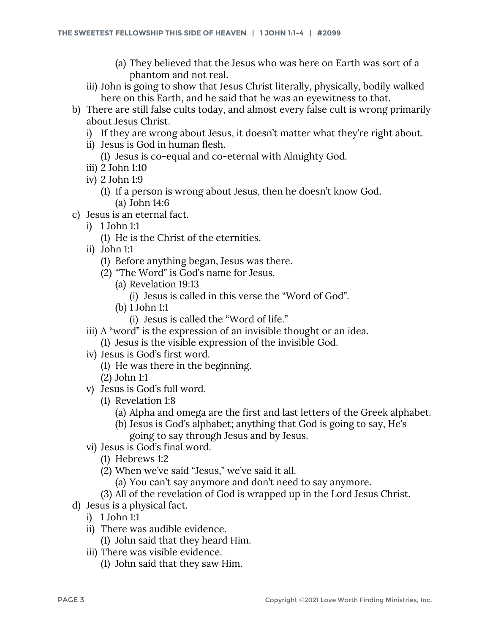- (a) They believed that the Jesus who was here on Earth was sort of a phantom and not real.
- iii) John is going to show that Jesus Christ literally, physically, bodily walked here on this Earth, and he said that he was an eyewitness to that.
- b) There are still false cults today, and almost every false cult is wrong primarily about Jesus Christ.
	- i) If they are wrong about Jesus, it doesn't matter what they're right about.
	- ii) Jesus is God in human flesh.
		- (1) Jesus is co-equal and co-eternal with Almighty God.
	- iii) 2 John 1:10
	- iv) 2 John 1:9
		- (1) If a person is wrong about Jesus, then he doesn't know God. (a) John 14:6
- c) Jesus is an eternal fact.
	- i) 1 John 1:1
		- (1) He is the Christ of the eternities.
	- ii) John 1:1
		- (1) Before anything began, Jesus was there.
		- (2) "The Word" is God's name for Jesus.
			- (a) Revelation 19:13
				- (i) Jesus is called in this verse the "Word of God".
			- (b) 1 John 1:1
				- (i) Jesus is called the "Word of life."
	- iii) A "word" is the expression of an invisible thought or an idea. (1) Jesus is the visible expression of the invisible God.
	- iv) Jesus is God's first word.
		- (1) He was there in the beginning.
		- (2) John 1:1
	- v) Jesus is God's full word.
		- (1) Revelation 1:8
			- (a) Alpha and omega are the first and last letters of the Greek alphabet.
			- (b) Jesus is God's alphabet; anything that God is going to say, He's going to say through Jesus and by Jesus.
	- vi) Jesus is God's final word.
		- (1) Hebrews 1:2
		- (2) When we've said "Jesus," we've said it all.
			- (a) You can't say anymore and don't need to say anymore.
		- (3) All of the revelation of God is wrapped up in the Lord Jesus Christ.
- d) Jesus is a physical fact.
	- i) 1 John 1:1
	- ii) There was audible evidence.
		- (1) John said that they heard Him.
	- iii) There was visible evidence.
		- (1) John said that they saw Him.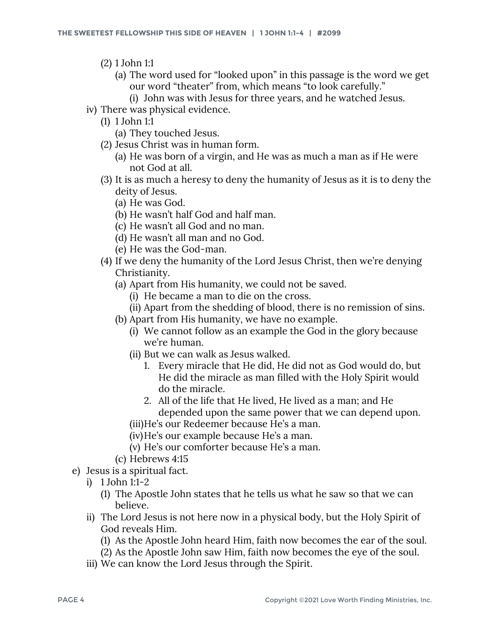- (2) 1 John 1:1
	- (a) The word used for "looked upon" in this passage is the word we get our word "theater" from, which means "to look carefully."
		- (i) John was with Jesus for three years, and he watched Jesus.
- iv) There was physical evidence.
	- (1) 1 John 1:1
		- (a) They touched Jesus.
	- (2) Jesus Christ was in human form.
		- (a) He was born of a virgin, and He was as much a man as if He were not God at all.
	- (3) It is as much a heresy to deny the humanity of Jesus as it is to deny the deity of Jesus.
		- (a) He was God.
		- (b) He wasn't half God and half man.
		- (c) He wasn't all God and no man.
		- (d) He wasn't all man and no God.
		- (e) He was the God-man.
	- (4) If we deny the humanity of the Lord Jesus Christ, then we're denying Christianity.
		- (a) Apart from His humanity, we could not be saved.
			- (i) He became a man to die on the cross.
			- (ii) Apart from the shedding of blood, there is no remission of sins.
		- (b) Apart from His humanity, we have no example.
			- (i) We cannot follow as an example the God in the glory because we're human.
			- (ii) But we can walk as Jesus walked.
				- 1. Every miracle that He did, He did not as God would do, but He did the miracle as man filled with the Holy Spirit would do the miracle.
				- 2. All of the life that He lived, He lived as a man; and He depended upon the same power that we can depend upon.
			- (iii)He's our Redeemer because He's a man.
			- (iv)He's our example because He's a man.
			- (v) He's our comforter because He's a man.
		- (c) Hebrews 4:15
- e) Jesus is a spiritual fact.
	- i) 1 John 1:1-2
		- (1) The Apostle John states that he tells us what he saw so that we can believe.
	- ii) The Lord Jesus is not here now in a physical body, but the Holy Spirit of God reveals Him.
		- (1) As the Apostle John heard Him, faith now becomes the ear of the soul.
		- (2) As the Apostle John saw Him, faith now becomes the eye of the soul.
	- iii) We can know the Lord Jesus through the Spirit.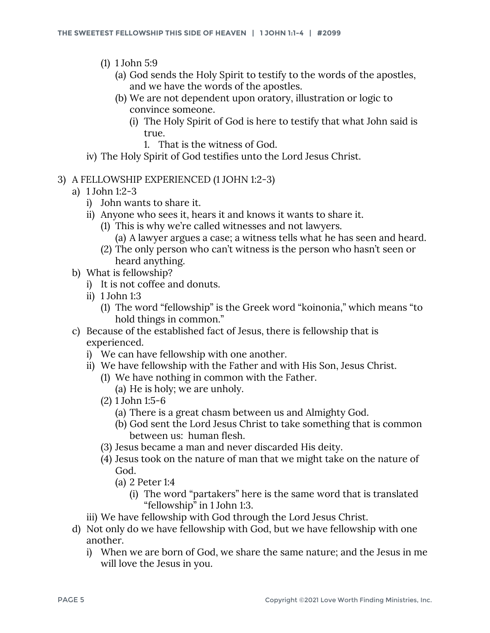- (1) 1 John 5:9
	- (a) God sends the Holy Spirit to testify to the words of the apostles, and we have the words of the apostles.
	- (b) We are not dependent upon oratory, illustration or logic to convince someone.
		- (i) The Holy Spirit of God is here to testify that what John said is true.
			- 1. That is the witness of God.
- iv) The Holy Spirit of God testifies unto the Lord Jesus Christ.
- 3) A FELLOWSHIP EXPERIENCED (1 JOHN 1:2-3)
	- a) 1 John 1:2-3
		- i) John wants to share it.
		- ii) Anyone who sees it, hears it and knows it wants to share it.
			- (1) This is why we're called witnesses and not lawyers. (a) A lawyer argues a case; a witness tells what he has seen and heard.
			- (2) The only person who can't witness is the person who hasn't seen or heard anything.
	- b) What is fellowship?
		- i) It is not coffee and donuts.
		- ii) 1 John 1:3
			- (1) The word "fellowship" is the Greek word "koinonia," which means "to hold things in common."
	- c) Because of the established fact of Jesus, there is fellowship that is experienced.
		- i) We can have fellowship with one another.
		- ii) We have fellowship with the Father and with His Son, Jesus Christ.
			- (1) We have nothing in common with the Father.
				- (a) He is holy; we are unholy.
			- (2) 1 John 1:5-6
				- (a) There is a great chasm between us and Almighty God.
				- (b) God sent the Lord Jesus Christ to take something that is common between us: human flesh.
			- (3) Jesus became a man and never discarded His deity.
			- (4) Jesus took on the nature of man that we might take on the nature of God.
				- (a) 2 Peter 1:4
					- (i) The word "partakers" here is the same word that is translated "fellowship" in 1 John 1:3.
		- iii) We have fellowship with God through the Lord Jesus Christ.
	- d) Not only do we have fellowship with God, but we have fellowship with one another.
		- i) When we are born of God, we share the same nature; and the Jesus in me will love the Jesus in you.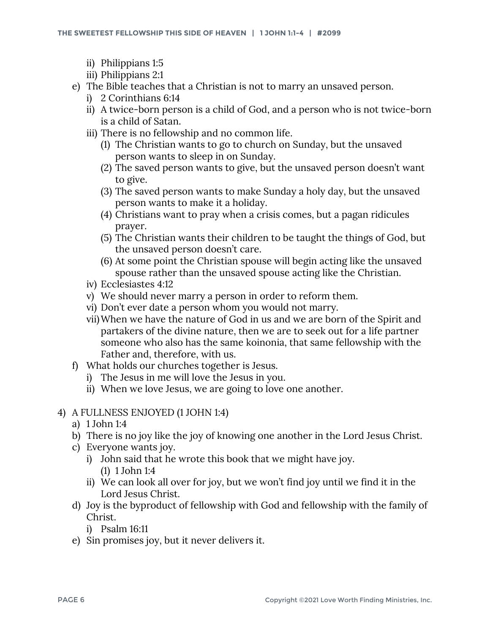- ii) Philippians 1:5
- iii) Philippians 2:1
- e) The Bible teaches that a Christian is not to marry an unsaved person.
	- i) 2 Corinthians 6:14
	- ii) A twice-born person is a child of God, and a person who is not twice-born is a child of Satan.
	- iii) There is no fellowship and no common life.
		- (1) The Christian wants to go to church on Sunday, but the unsaved person wants to sleep in on Sunday.
		- (2) The saved person wants to give, but the unsaved person doesn't want to give.
		- (3) The saved person wants to make Sunday a holy day, but the unsaved person wants to make it a holiday.
		- (4) Christians want to pray when a crisis comes, but a pagan ridicules prayer.
		- (5) The Christian wants their children to be taught the things of God, but the unsaved person doesn't care.
		- (6) At some point the Christian spouse will begin acting like the unsaved spouse rather than the unsaved spouse acting like the Christian.
	- iv) Ecclesiastes 4:12
	- v) We should never marry a person in order to reform them.
	- vi) Don't ever date a person whom you would not marry.
	- vii)When we have the nature of God in us and we are born of the Spirit and partakers of the divine nature, then we are to seek out for a life partner someone who also has the same koinonia, that same fellowship with the Father and, therefore, with us.
- f) What holds our churches together is Jesus.
	- i) The Jesus in me will love the Jesus in you.
	- ii) When we love Jesus, we are going to love one another.
- 4) A FULLNESS ENJOYED (1 JOHN 1:4)
	- a) 1 John 1:4
	- b) There is no joy like the joy of knowing one another in the Lord Jesus Christ.
	- c) Everyone wants joy.
		- i) John said that he wrote this book that we might have joy. (1) 1 John 1:4
		- ii) We can look all over for joy, but we won't find joy until we find it in the Lord Jesus Christ.
	- d) Joy is the byproduct of fellowship with God and fellowship with the family of Christ.
		- i) Psalm 16:11
	- e) Sin promises joy, but it never delivers it.